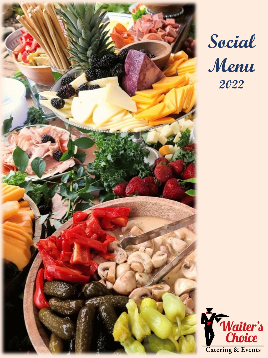

# **Social Menu 2022**

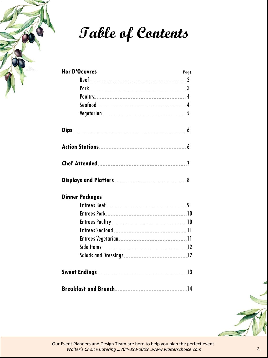

**Table of Contents**

|  | <b>Hor D'Oeuvres</b>   | Page |
|--|------------------------|------|
|  |                        |      |
|  |                        |      |
|  |                        |      |
|  |                        |      |
|  |                        |      |
|  |                        |      |
|  |                        |      |
|  |                        |      |
|  |                        |      |
|  | <b>Dinner Packages</b> |      |
|  |                        |      |
|  |                        |      |
|  |                        |      |
|  |                        |      |
|  |                        |      |
|  |                        |      |
|  |                        |      |
|  |                        |      |
|  |                        |      |

Our Event Planners and Design Team are here to help you plan the perfect event! *Waiter's Choice Catering …704-393-0009…www.waiterschoice.com* 2.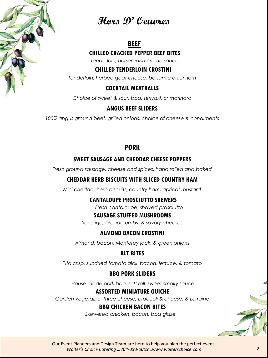

## **Hors D' Oeuvres**

## **BEEF**

## **CHILLED CRACKED PEPPER BEEF BITES**

*Tenderloin, horseradish crème sauce*

## **CHILLED TENDERLOIN CROSTINI**

*Tenderloin, herbed goat cheese, balsamic onion jam*

## **COCKTAIL MEATBALLS**

*Choice of sweet & sour, bbq, teriyaki, or marinara*

## **ANGUS BEEF SLIDERS**

*100% angus ground beef, grilled onions, choice of cheese & condiments*

## **PORK**

## **SWEET SAUSAGE AND CHEDDAR CHEESE POPPERS**

*Fresh ground sausage, cheese and spices, hand rolled and baked*

## **CHEDDAR HERB BISCUITS WITH SLICED COUNTRY HAM**

*Mini cheddar herb biscuits, country ham, apricot mustard*

## **CANTALOUPE PROSCIUTTO SKEWERS**

*Fresh cantaloupe, shaved prosciutto*

## **SAUSAGE STUFFED MUSHROOMS**

*Sausage, breadcrumbs, & savory cheeses*

## **ALMOND BACON CROSTINI**

*Almond, bacon, Monterey jack, & green onions*

## **BLT BITES**

*Pita crisp, sundried tomato aioli, bacon, lettuce, & tomato*

## **BBQ PORK SLIDERS**

*House made pork bbq, soft roll, sweet smoky sauce*

## **ASSORTED MINIATURE QUICHE**

*Garden vegetable, three cheese, broccoli & cheese, & Lorraine*

## **BBQ CHICKEN BACON BITES**

*Skewered chicken, bacon, bbq glaze*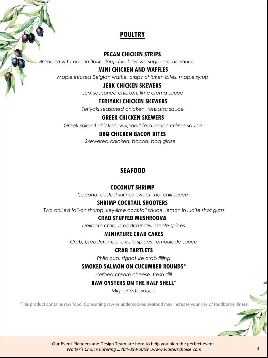## **POULTRY**

#### **PECAN CHICKEN STRIPS**

*Breaded with pecan flour, deep fried, brown sugar crème sauce*

#### **MINI CHICKEN AND WAFFLES**

*Maple infused Belgian waffle, crispy chicken bites, maple syrup*

#### **JERK CHICKEN SKEWERS**

*Jerk seasoned chicken, lime crema sauce*

#### **TERIYAKI CHICKEN SKEWERS**

*Teriyaki seasoned chicken, tonkatsu sauce*

#### **GREEK CHICKEN SKEWERS**

*Greek spiced chicken, whipped feta lemon crème sauce*

#### **BBQ CHICKEN BACON BITES**

*Skewered chicken, bacon, bbq glaze*

## **SEAFOOD**

## **COCONUT SHRIMP**

*Coconut dusted shrimp, sweet Thai chili sauce*

## **SHRIMP COCKTAIL SHOOTERS**

*Two chilled tail-on shrimp, key-lime cocktail sauce, lemon in lucite shot glass*

## **CRAB STUFFED MUSHROOMS**

*Delicate crab, breadcrumbs, creole spices*

## **MINIATURE CRAB CAKES**

*Crab, breadcrumbs, creole spices, remoulade sauce*

## **CRAB TARTLETS**

*Philo cup, signature crab filling*

## **SMOKED SALMON ON CUCUMBER ROUNDS\***

*Herbed cream cheese, fresh dill*

## **RAW OYSTERS ON THE HALF SHELL\***

*Mignonette sauce*

\*This product contains raw food. Consuming raw or undercooked seafood may increase your risk of foodborne illness.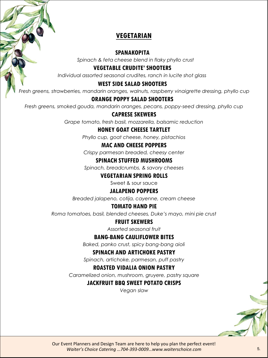## **VEGETARIAN**

#### **SPANAKOPITA**

*Spinach & feta cheese blend in flaky phyllo crust*

#### **VEGETABLE CRUDITE' SHOOTERS**

*Individual assorted seasonal crudites, ranch in lucite shot glass*

#### **WEST SIDE SALAD SHOOTERS**

*Fresh greens, strawberries, mandarin oranges, walnuts, raspberry vinaigrette dressing, phyllo cup*

#### **ORANGE POPPY SALAD SHOOTERS**

*Fresh greens, smoked gouda, mandarin oranges, pecans, poppy-seed dressing, phyllo cup*

#### **CAPRESE SKEWERS**

*Grape tomato, fresh basil, mozzarella, balsamic reduction*

#### **HONEY GOAT CHEESE TARTLET**

*Phyllo cup, goat cheese, honey, pistachios*

#### **MAC AND CHEESE POPPERS**

*Crispy parmesan breaded, cheesy center*

#### **SPINACH STUFFED MUSHROOMS**

*Spinach, breadcrumbs, & savory cheeses*

#### **VEGETARIAN SPRING ROLLS**

Sweet & sour sauce

#### **JALAPENO POPPERS**

*Breaded jalapeno, cotija, cayenne, cream cheese*

#### **TOMATO HAND PIE**

*Roma tomatoes, basil, blended cheeses, Duke's mayo, mini pie crust*

#### **FRUIT SKEWERS**

*Assorted seasonal fruit*

#### **BANG-BANG CAULIFLOWER BITES**

*Baked, panko crust, spicy bang-bang aioli*

#### **SPINACH AND ARTICHOKE PASTRY**

*Spinach, artichoke, parmesan, puff pastry*

#### **ROASTED VIDALIA ONION PASTRY**

*Caramelized onion, mushroom, gruyere, pastry square*

#### **JACKFRUIT BBQ SWEET POTATO CRISPS**

*Vegan slaw*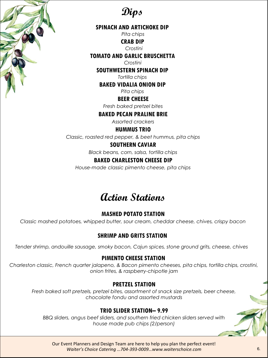

**Dips**

#### **SPINACH AND ARTICHOKE DIP**

*Pita chips*

**CRAB DIP**

*Crostini*

#### **TOMATO AND GARLIC BRUSCHETTA**

*Crostini*

**SOUTHWESTERN SPINACH DIP**

*Tortilla chips*

**BAKED VIDALIA ONION DIP**

*Pita chips*

**BEER CHEESE**

*Fresh baked pretzel bites*

#### **BAKED PECAN PRALINE BRIE**

*Assorted crackers*

**HUMMUS TRIO**

*Classic, roasted red pepper, & beet hummus, pita chips*

#### **SOUTHERN CAVIAR**

*Black beans, corn, salsa, tortilla chips*

#### **BAKED CHARLESTON CHEESE DIP**

*House-made classic pimento cheese, pita chips*

## **Action Stations**

## **MASHED POTATO STATION**

*Classic mashed potatoes, whipped butter, sour cream, cheddar cheese, chives, crispy bacon*

## **SHRIMP AND GRITS STATION**

*Tender shrimp, andouille sausage, smoky bacon, Cajun spices, stone ground grits, cheese, chives*

## **PIMENTO CHEESE STATION**

*Charleston classic, French quarter jalapeno, & Bacon pimento cheeses, pita chips, tortilla chips, crostini, onion frites, & raspberry-chipotle jam*

#### **PRETZEL STATION**

*Fresh baked soft pretzels, pretzel bites, assortment of snack size pretzels, beer cheese, chocolate fondu and assorted mustards*

## **TRIO SLIDER STATION– 9.99**

*BBQ sliders, angus beef sliders, and southern fried chicken sliders served with house made pub chips (2/person)*

Our Event Planners and Design Team are here to help you plan the perfect event! *Waiter's Choice Catering …704-393-0009…www.waiterschoice.com* 6.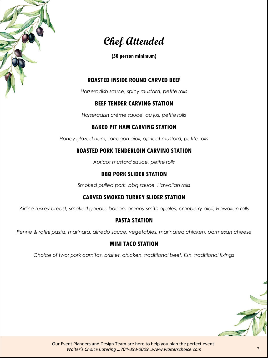

## **Chef Attended**

**(50 person minimum)**

## **ROASTED INSIDE ROUND CARVED BEEF**

*Horseradish sauce, spicy mustard, petite rolls*

## **BEEF TENDER CARVING STATION**

*Horseradish crème sauce, au jus, petite rolls*

## **BAKED PIT HAM CARVING STATION**

*Honey glazed ham, tarragon aioli, apricot mustard, petite rolls*

## **ROASTED PORK TENDERLOIN CARVING STATION**

*Apricot mustard sauce, petite rolls*

## **BBQ PORK SLIDER STATION**

*Smoked pulled pork, bbq sauce, Hawaiian rolls*

## **CARVED SMOKED TURKEY SLIDER STATION**

*Airline turkey breast, smoked gouda, bacon, granny smith apples, cranberry aioli, Hawaiian rolls*

## **PASTA STATION**

*Penne & rotini pasta, marinara, alfredo sauce, vegetables, marinated chicken, parmesan cheese*

## **MINI TACO STATION**

*Choice of two: pork carnitas, brisket, chicken, traditional beef, fish, traditional fixings*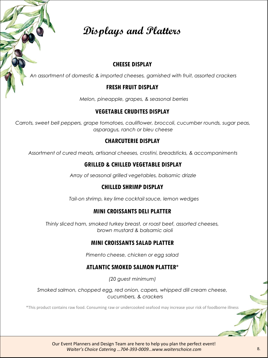

#### **CHEESE DISPLAY**

*An assortment of domestic & imported cheeses, garnished with fruit, assorted crackers*

#### **FRESH FRUIT DISPLAY**

*Melon, pineapple, grapes, & seasonal berries*

#### **VEGETABLE CRUDITES DISPLAY**

*Carrots, sweet bell peppers, grape tomatoes, cauliflower, broccoli, cucumber rounds, sugar peas, asparagus, ranch or bleu cheese*

#### **CHARCUTERIE DISPLAY**

*Assortment of cured meats, artisanal cheeses, crostini, breadsticks, & accompaniments*

#### **GRILLED & CHILLED VEGETABLE DISPLAY**

*Array of seasonal grilled vegetables, balsamic drizzle*

#### **CHILLED SHRIMP DISPLAY**

*Tail-on shrimp, key lime cocktail sauce, lemon wedges*

#### **MINI CROISSANTS DELI PLATTER**

*Thinly sliced ham, smoked turkey breast, or roast beef, assorted cheeses, brown mustard & balsamic aioli*

#### **MINI CROISSANTS SALAD PLATTER**

*Pimento cheese, chicken or egg salad*

#### **ATLANTIC SMOKED SALMON PLATTER\***

*(20 guest minimum)*

*Smoked salmon, chopped egg, red onion, capers, whipped dill cream cheese, cucumbers, & crackers*

\*This product contains raw food. Consuming raw or undercooked seafood may increase your risk of foodborne illness

Our Event Planners and Design Team are here to help you plan the perfect event! *Waiter's Choice Catering …704-393-0009…www.waiterschoice.com* 8.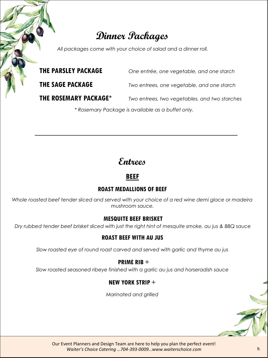## **Dinner Packages**

*All packages come with your choice of salad and a dinner roll.*

**THE PARSLEY PACKAGE** *One entrée, one vegetable, and one starch*

**THE SAGE PACKAGE** *Two entrees, one vegetable, and one starch*

**THE ROSEMARY PACKAGE\*** *Two entrees, two vegetables, and two starches*

*\* Rosemary Package is available as a buffet only.*

## **Entrees**

## **BEEF**

## **ROAST MEDALLIONS OF BEEF**

*Whole roasted beef tender sliced and served with your choice of a red wine demi glace or madeira mushroom sauce.*

## **MESQUITE BEEF BRISKET**

*Dry rubbed tender beef brisket sliced with just the right hint of mesquite smoke, au jus & BBQ sauce*

## **ROAST BEEF WITH AU JUS**

*Slow roasted eye of round roast carved and served with garlic and thyme au jus*

## **PRIME RIB** +

*Slow roasted seasoned ribeye finished with a garlic au jus and horseradish sauce*

## **NEW YORK STRIP** +

*Marinated and grilled*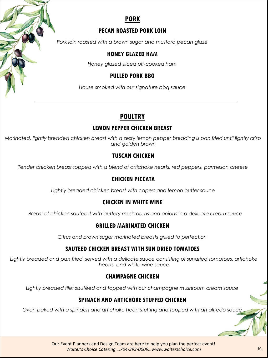## **PORK**

## **PECAN ROASTED PORK LOIN**

*Pork loin roasted with a brown sugar and mustard pecan glaze*

## **HONEY GLAZED HAM**

*Honey glazed sliced pit-cooked ham*

## **PULLED PORK BBQ**

*House smoked with our signature bbq sauce*

## **POULTRY**

## **LEMON PEPPER CHICKEN BREAST**

*Marinated, lightly breaded chicken breast with a zesty lemon pepper breading is pan fried until lightly crisp and golden brown*

## **TUSCAN CHICKEN**

*Tender chicken breast topped with a blend of artichoke hearts, red peppers, parmesan cheese*

## **CHICKEN PICCATA**

*Lightly breaded chicken breast with capers and lemon butter sauce*

## **CHICKEN IN WHITE WINE**

*Breast of chicken sauteed with buttery mushrooms and onions in a delicate cream sauce*

## **GRILLED MARINATED CHICKEN**

*Citrus and brown sugar marinated breasts grilled to perfection*

## **SAUTEED CHICKEN BREAST WITH SUN DRIED TOMATOES**

*Lightly breaded and pan fried, served with a delicate sauce consisting of sundried tomatoes, artichoke hearts, and white wine sauce*

## **CHAMPAGNE CHICKEN**

*Lightly breaded filet sautéed and topped with our champagne mushroom cream sauce*

## **SPINACH AND ARTICHOKE STUFFED CHICKEN**

*Oven baked with a spinach and artichoke heart stuffing and topped with an alfredo sauce*

Our Event Planners and Design Team are here to help you plan the perfect event! *Waiter's Choice Catering …704-393-0009…www.waiterschoice.com*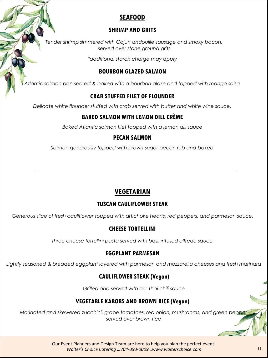## **SEAFOOD**

## **SHRIMP AND GRITS**

*Tender shrimp simmered with Cajun andouille sausage and smoky bacon, served over stone ground grits*

*\*additional starch charge may apply*

## **BOURBON GLAZED SALMON**

*Atlantic salmon pan seared & baked with a bourbon glaze and topped with mango salsa*

## **CRAB STUFFED FILET OF FLOUNDER**

*Delicate white flounder stuffed with crab served with butter and white wine sauce.*

## **BAKED SALMON WITH LEMON DILL CRÈME**

*Baked Atlantic salmon filet topped with a lemon dill sauce*

## **PECAN SALMON**

*Salmon generously topped with brown sugar pecan rub and baked*

## **VEGETARIAN**

## **TUSCAN CAULIFLOWER STEAK**

*Generous slice of fresh cauliflower topped with artichoke hearts, red peppers, and parmesan sauce.*

## **CHEESE TORTELLINI**

*Three cheese tortellini pasta served with basil infused alfredo sauce*

## **EGGPLANT PARMESAN**

*Lightly seasoned & breaded eggplant layered with parmesan and mozzarella cheeses and fresh marinara*

## **CAULIFLOWER STEAK (Vegan)**

*Grilled and served with our Thai chili sauce*

## **VEGETABLE KABOBS AND BROWN RICE (Vegan)**

*Marinated and skewered zucchini, grape tomatoes, red onion, mushrooms, and green pepper served over brown rice*

> Our Event Planners and Design Team are here to help you plan the perfect event! *Waiter's Choice Catering …704-393-0009…www.waiterschoice.com* 11.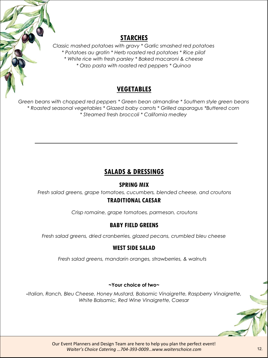## **STARCHES**

*Classic mashed potatoes with gravy \* Garlic smashed red potatoes \* Potatoes au gratin \* Herb roasted red potatoes \* Rice pilaf \* White rice with fresh parsley \* Baked macaroni & cheese \* Orzo pasta with roasted red peppers \* Quinoa*

## **VEGETABLES**

*Green beans with chopped red peppers \* Green bean almandine \* Southern style green beans \* Roasted seasonal vegetables \* Glazed baby carrots \* Grilled asparagus \*Buttered corn \* Steamed fresh broccoli \* California medley*

## **SALADS & DRESSINGS**

## **SPRING MIX**

*Fresh salad greens, grape tomatoes, cucumbers, blended cheese, and croutons*

## **TRADITIONAL CAESAR**

*Crisp romaine, grape tomatoes, parmesan, croutons*

## **BABY FIELD GREENS**

*Fresh salad greens, dried cranberries, glazed pecans, crumbled bleu cheese*

## **WEST SIDE SALAD**

*Fresh salad greens, mandarin oranges, strawberries, & walnuts*

#### **~Your choice of two~**

*-Italian, Ranch, Bleu Cheese, Honey Mustard, Balsamic Vinaigrette, Raspberry Vinaigrette, White Balsamic, Red Wine Vinaigrette, Caesar*

> Our Event Planners and Design Team are here to help you plan the perfect event! *Waiter's Choice Catering …704-393-0009…www.waiterschoice.com* 12.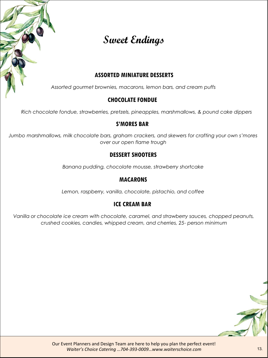

## **Sweet Endings**

## **ASSORTED MINIATURE DESSERTS**

*Assorted gourmet brownies, macarons, lemon bars, and cream puffs*

## **CHOCOLATE FONDUE**

*Rich chocolate fondue, strawberries, pretzels, pineapples, marshmallows, & pound cake dippers*

#### **S'MORES BAR**

*Jumbo marshmallows, milk chocolate bars, graham crackers, and skewers for crafting your own s'mores over our open flame trough*

## **DESSERT SHOOTERS**

*Banana pudding, chocolate mousse, strawberry shortcake*

## **MACARONS**

*Lemon, raspberry, vanilla, chocolate, pistachio, and coffee*

## **ICE CREAM BAR**

*Vanilla or chocolate ice cream with chocolate, caramel, and strawberry sauces, chopped peanuts, crushed cookies, candies, whipped cream, and cherries, 25- person minimum*